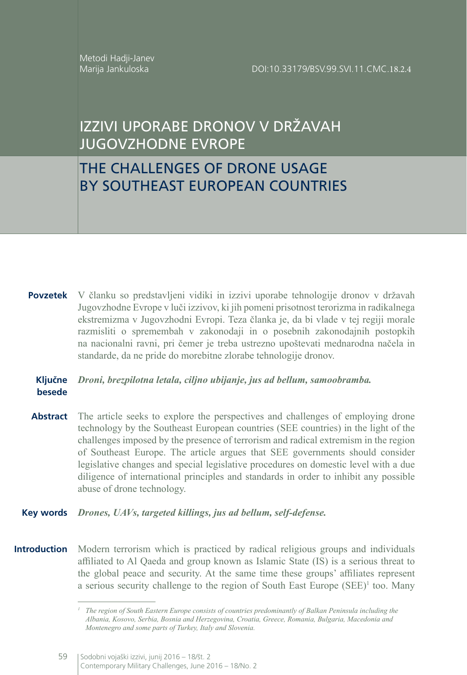Metodi Hadji-Janev Marija Jankuloska

# IZZIVI UPORABE DRONOV V DRŽAVAH JUGOVZHODNE EVROPE

## THE CHALLENGES OF DRONE USAGE BY SOUTHEAST EUROPEAN COUNTRIES

**Povzetek** V članku so predstavljeni vidiki in izzivi uporabe tehnologije dronov v državah Jugovzhodne Evrope v luči izzivov, ki jih pomeni prisotnost terorizma in radikalnega ekstremizma v Jugovzhodni Evropi. Teza članka je, da bi vlade v tej regiji morale razmisliti o spremembah v zakonodaji in o posebnih zakonodajnih postopkih na nacionalni ravni, pri čemer je treba ustrezno upoštevati mednarodna načela in standarde, da ne pride do morebitne zlorabe tehnologije dronov.

### **Ključne**  *Droni, brezpilotna letala, ciljno ubijanje, jus ad bellum, samoobramba.* **besede**

Abstract The article seeks to explore the perspectives and challenges of employing drone technology by the Southeast European countries (SEE countries) in the light of the challenges imposed by the presence of terrorism and radical extremism in the region of Southeast Europe. The article argues that SEE governments should consider legislative changes and special legislative procedures on domestic level with a due diligence of international principles and standards in order to inhibit any possible abuse of drone technology.

#### **Key words** *Drones, UAVs, targeted killings, jus ad bellum, self-defense.*

**Introduction** Modern terrorism which is practiced by radical religious groups and individuals affiliated to Al Qaeda and group known as Islamic State (IS) is a serious threat to the global peace and security. At the same time these groups' affiliates represent a serious security challenge to the region of South East Europe (SEE)<sup>1</sup> too. Many

*<sup>1</sup> The region of South Eastern Europe consists of countries predominantly of Balkan Peninsula including the*  [Albania,](https://en.wikipedia.org/wiki/Albania) [Kosovo,](https://en.wikipedia.org/wiki/Kosovo) [Serbia,](https://en.wikipedia.org/wiki/Serbia) [Bosnia and Herzegovina,](https://en.wikipedia.org/wiki/Bosnia_and_Herzegovina) [Croatia](https://en.wikipedia.org/wiki/Croatia), [Greece](https://en.wikipedia.org/wiki/Greece), [Romania](https://en.wikipedia.org/wiki/Romania), [Bulgaria,](https://en.wikipedia.org/wiki/Bulgaria) [Macedonia](https://en.wikipedia.org/wiki/Republic_of_Macedonia) and *[Montenegro](https://en.wikipedia.org/wiki/Montenegro) and some parts of Turkey, Italy and Slovenia.*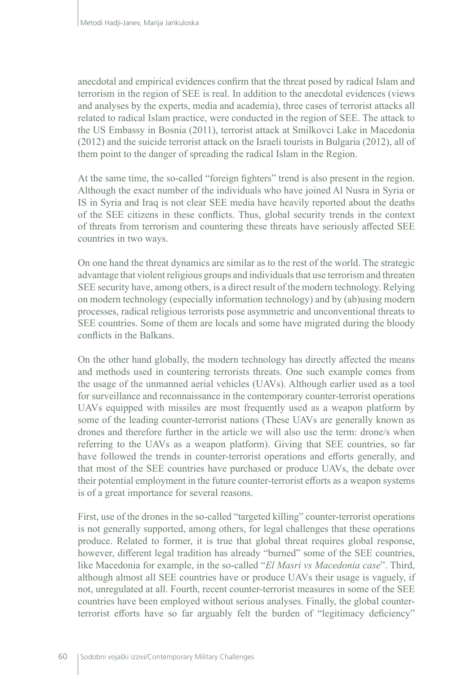anecdotal and empirical evidences confirm that the threat posed by radical Islam and terrorism in the region of SEE is real. In addition to the anecdotal evidences (views and analyses by the experts, media and academia), three cases of terrorist attacks all related to radical Islam practice, were conducted in the region of SEE. The attack to the US Embassy in Bosnia (2011), terrorist attack at Smilkovci Lake in Macedonia (2012) and the suicide terrorist attack on the Israeli tourists in Bulgaria (2012), all of them point to the danger of spreading the radical Islam in the Region.

At the same time, the so-called "foreign fighters" trend is also present in the region. Although the exact number of the individuals who have joined Al Nusra in Syria or IS in Syria and Iraq is not clear SEE media have heavily reported about the deaths of the SEE citizens in these conflicts. Thus, global security trends in the context of threats from terrorism and countering these threats have seriously affected SEE countries in two ways.

On one hand the threat dynamics are similar as to the rest of the world. The strategic advantage that violent religious groups and individuals that use terrorism and threaten SEE security have, among others, is a direct result of the modern technology. Relying on modern technology (especially information technology) and by (ab)using modern processes, radical religious terrorists pose asymmetric and unconventional threats to SEE countries. Some of them are locals and some have migrated during the bloody conflicts in the Balkans.

On the other hand globally, the modern technology has directly affected the means and methods used in countering terrorists threats. One such example comes from the usage of the unmanned aerial vehicles (UAVs). Although earlier used as a tool for surveillance and reconnaissance in the contemporary counter-terrorist operations UAVs equipped with missiles are most frequently used as a weapon platform by some of the leading counter-terrorist nations (These UAVs are generally known as drones and therefore further in the article we will also use the term: drone/s when referring to the UAVs as a weapon platform). Giving that SEE countries, so far have followed the trends in counter-terrorist operations and efforts generally, and that most of the SEE countries have purchased or produce UAVs, the debate over their potential employment in the future counter-terrorist efforts as a weapon systems is of a great importance for several reasons.

First, use of the drones in the so-called "targeted killing" counter-terrorist operations is not generally supported, among others, for legal challenges that these operations produce. Related to former, it is true that global threat requires global response, however, different legal tradition has already "burned" some of the SEE countries, like Macedonia for example, in the so-called "*El Masri vs Macedonia case*". Third, although almost all SEE countries have or produce UAVs their usage is vaguely, if not, unregulated at all. Fourth, recent counter-terrorist measures in some of the SEE countries have been employed without serious analyses. Finally, the global counterterrorist efforts have so far arguably felt the burden of "legitimacy deficiency"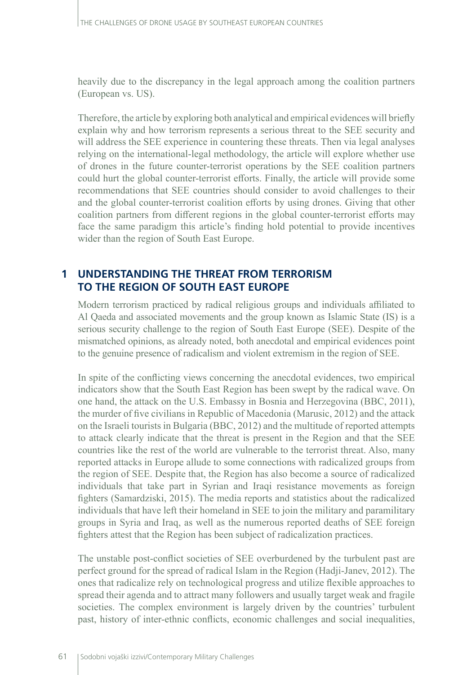heavily due to the discrepancy in the legal approach among the coalition partners (European vs. US).

Therefore, the article by exploring both analytical and empirical evidences will briefly explain why and how terrorism represents a serious threat to the SEE security and will address the SEE experience in countering these threats. Then via legal analyses relying on the international-legal methodology, the article will explore whether use of drones in the future counter-terrorist operations by the SEE coalition partners could hurt the global counter-terrorist efforts. Finally, the article will provide some recommendations that SEE countries should consider to avoid challenges to their and the global counter-terrorist coalition efforts by using drones. Giving that other coalition partners from different regions in the global counter-terrorist efforts may face the same paradigm this article's finding hold potential to provide incentives wider than the region of South East Europe.

## **1 UNDERSTANDING THE THREAT FROM TERRORISM TO THE REGION OF SOUTH EAST EUROPE**

Modern terrorism practiced by radical religious groups and individuals affiliated to Al Qaeda and associated movements and the group known as Islamic State (IS) is a serious security challenge to the region of South East Europe (SEE). Despite of the mismatched opinions, as already noted, both anecdotal and empirical evidences point to the genuine presence of radicalism and violent extremism in the region of SEE.

In spite of the conflicting views concerning the anecdotal evidences, two empirical indicators show that the South East Region has been swept by the radical wave. On one hand, the attack on the U.S. Embassy in Bosnia and Herzegovina (BBC, 2011), the murder of five civilians in Republic of Macedonia (Marusic, 2012) and the attack on the Israeli tourists in Bulgaria (BBC, 2012) and the multitude of reported attempts to attack clearly indicate that the threat is present in the Region and that the SEE countries like the rest of the world are vulnerable to the terrorist threat. Also, many reported attacks in Europe allude to some connections with radicalized groups from the region of SEE. Despite that, the Region has also become a source of radicalized individuals that take part in Syrian and Iraqi resistance movements as foreign fighters (Samardziski, 2015). The media reports and statistics about the radicalized individuals that have left their homeland in SEE to join the military and paramilitary groups in Syria and Iraq, as well as the numerous reported deaths of SEE foreign fighters attest that the Region has been subject of radicalization practices.

The unstable post-conflict societies of SEE overburdened by the turbulent past are perfect ground for the spread of radical Islam in the Region (Hadji-Janev, 2012). The ones that radicalize rely on technological progress and utilize flexible approaches to spread their agenda and to attract many followers and usually target weak and fragile societies. The complex environment is largely driven by the countries' turbulent past, history of inter-ethnic conflicts, economic challenges and social inequalities,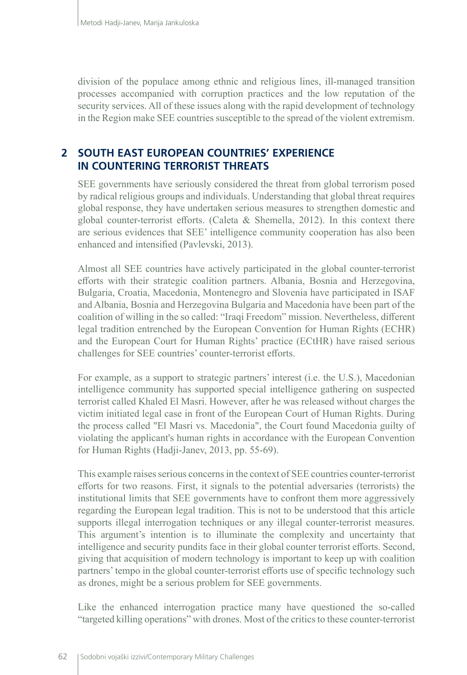division of the populace among ethnic and religious lines, ill-managed transition processes accompanied with corruption practices and the low reputation of the security services. All of these issues along with the rapid development of technology in the Region make SEE countries susceptible to the spread of the violent extremism.

## **2 SOUTH EAST EUROPEAN COUNTRIES' EXPERIENCE IN COUNTERING TERRORIST THREATS**

SEE governments have seriously considered the threat from global terrorism posed by radical religious groups and individuals. Understanding that global threat requires global response, they have undertaken serious measures to strengthen domestic and global counter-terrorist efforts. (Caleta & Shemella, 2012). In this context there are serious evidences that SEE' intelligence community cooperation has also been enhanced and intensified (Pavlevski, 2013).

Almost all SEE countries have actively participated in the global counter-terrorist efforts with their strategic coalition partners. Albania, Bosnia and Herzegovina, Bulgaria, Croatia, Macedonia, Montenegro and Slovenia have participated in ISAF and Albania, Bosnia and Herzegovina Bulgaria and Macedonia have been part of the coalition of willing in the so called: "Iraqi Freedom" mission. Nevertheless, different legal tradition entrenched by the European Convention for Human Rights (ECHR) and the European Court for Human Rights' practice (ECtHR) have raised serious challenges for SEE countries' counter-terrorist efforts.

For example, as a support to strategic partners' interest (i.e. the U.S.), Macedonian intelligence community has supported special intelligence gathering on suspected terrorist called Khaled El Masri. However, after he was released without charges the victim initiated legal case in front of the European Court of Human Rights. During the process called "El Masri vs. Macedonia", the Court found Macedonia guilty of violating the applicant's human rights in accordance with the European Convention for Human Rights (Hadji-Janev, 2013, pp. 55-69).

This example raises serious concerns in the context of SEE countries counter-terrorist efforts for two reasons. First, it signals to the potential adversaries (terrorists) the institutional limits that SEE governments have to confront them more aggressively regarding the European legal tradition. This is not to be understood that this article supports illegal interrogation techniques or any illegal counter-terrorist measures. This argument's intention is to illuminate the complexity and uncertainty that intelligence and security pundits face in their global counter terrorist efforts. Second, giving that acquisition of modern technology is important to keep up with coalition partners' tempo in the global counter-terrorist efforts use of specific technology such as drones, might be a serious problem for SEE governments.

Like the enhanced interrogation practice many have questioned the so-called "targeted killing operations" with drones. Most of the critics to these counter-terrorist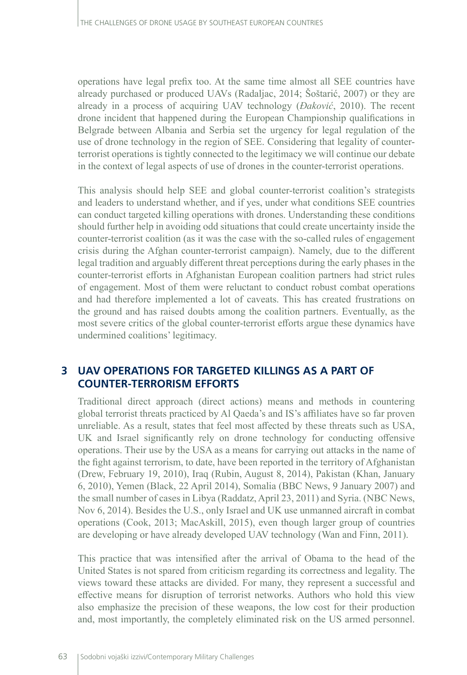operations have legal prefix too. At the same time almost all SEE countries have already purchased or produced UAVs (Radaljac, 2014; Šoštarić, 2007) or they are already in a process of acquiring UAV technology (*Đaković*, 2010). The recent drone incident that happened during the European Championship qualifications in Belgrade between Albania and Serbia set the urgency for legal regulation of the use of drone technology in the region of SEE. Considering that legality of counterterrorist operations is tightly connected to the legitimacy we will continue our debate in the context of legal aspects of use of drones in the counter-terrorist operations.

This analysis should help SEE and global counter-terrorist coalition's strategists and leaders to understand whether, and if yes, under what conditions SEE countries can conduct targeted killing operations with drones. Understanding these conditions should further help in avoiding odd situations that could create uncertainty inside the counter-terrorist coalition (as it was the case with the so-called rules of engagement crisis during the Afghan counter-terrorist campaign). Namely, due to the different legal tradition and arguably different threat perceptions during the early phases in the counter-terrorist efforts in Afghanistan European coalition partners had strict rules of engagement. Most of them were reluctant to conduct robust combat operations and had therefore implemented a lot of caveats. This has created frustrations on the ground and has raised doubts among the coalition partners. Eventually, as the most severe critics of the global counter-terrorist efforts argue these dynamics have undermined coalitions' legitimacy.

## **3 UAV OPERATIONS FOR TARGETED KILLINGS AS A PART OF COUNTER-TERRORISM EFFORTS**

Traditional direct approach (direct actions) means and methods in countering global terrorist threats practiced by Al Qaeda's and IS's affiliates have so far proven unreliable. As a result, states that feel most affected by these threats such as USA, UK and Israel significantly rely on drone technology for conducting offensive operations. Their use by the USA as a means for carrying out attacks in the name of the fight against terrorism, to date, have been reported in the territory of Afghanistan (Drew, February 19, 2010), Iraq (Rubin, August 8, 2014), Pakistan (Khan, January 6, 2010), Yemen (Black, 22 April 2014), Somalia (BBC News, 9 January 2007) and the small number of cases in Libya (Raddatz, April 23, 2011) and Syria. (NBC News, Nov 6, 2014). Besides the U.S., only Israel and UK use unmanned aircraft in combat operations (Cook, 2013; MacAskill, 2015), even though larger group of countries are developing or have already developed UAV technology (Wan and Finn, 2011).

This practice that was intensified after the arrival of Obama to the head of the United States is not spared from criticism regarding its correctness and legality. The views toward these attacks are divided. For many, they represent a successful and effective means for disruption of terrorist networks. Authors who hold this view also emphasize the precision of these weapons, the low cost for their production and, most importantly, the completely eliminated risk on the US armed personnel.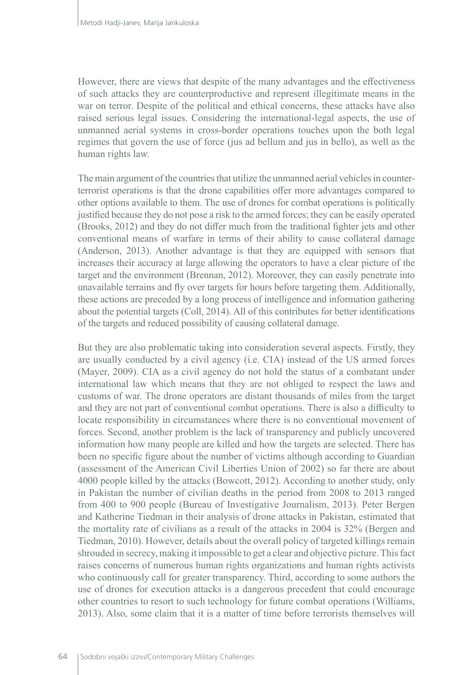However, there are views that despite of the many advantages and the effectiveness of such attacks they are counterproductive and represent illegitimate means in the war on terror. Despite of the political and ethical concerns, these attacks have also raised serious legal issues. Considering the international-legal aspects, the use of unmanned aerial systems in cross-border operations touches upon the both legal regimes that govern the use of force (jus ad bellum and jus in bello), as well as the human rights law.

The main argument of the countries that utilize the unmanned aerial vehicles in counterterrorist operations is that the drone capabilities offer more advantages compared to other options available to them. The use of drones for combat operations is politically justified because they do not pose a risk to the armed forces; they can be easily operated (Brooks, 2012) and they do not differ much from the traditional fighter jets and other conventional means of warfare in terms of their ability to cause collateral damage (Anderson, 2013). Another advantage is that they are equipped with sensors that increases their accuracy at large allowing the operators to have a clear picture of the target and the environment (Brennan, 2012). Moreover, they can easily penetrate into unavailable terrains and fly over targets for hours before targeting them. Additionally, these actions are preceded by a long process of intelligence and information gathering about the potential targets (Coll, 2014). All of this contributes for better identifications of the targets and reduced possibility of causing collateral damage.

But they are also problematic taking into consideration several aspects. Firstly, they are usually conducted by a civil agency (i.e. CIA) instead of the US armed forces (Mayer, 2009). CIA as a civil agency do not hold the status of a combatant under international law which means that they are not obliged to respect the laws and customs of war. The drone operators are distant thousands of miles from the target and they are not part of conventional combat operations. There is also a difficulty to locate responsibility in circumstances where there is no conventional movement of forces. Second, another problem is the lack of transparency and publicly uncovered information how many people are killed and how the targets are selected. There has been no specific figure about the number of victims although according to Guardian (assessment of the American Civil Liberties Union of 2002) so far there are about 4000 people killed by the attacks (Bowcott, 2012). According to another study, only in Pakistan the number of civilian deaths in the period from 2008 to 2013 ranged from 400 to 900 people (Bureau of Investigative Journalism, 2013). Peter Bergen and Katherine Tiedman in their analysis of drone attacks in Pakistan, estimated that the mortality rate of civilians as a result of the attacks in 2004 is 32% (Bergen and Tiedman, 2010). However, details about the overall policy of targeted killings remain shrouded in secrecy, making it impossible to get a clear and objective picture. This fact raises concerns of numerous human rights organizations and human rights activists who continuously call for greater transparency. Third, according to some authors the use of drones for execution attacks is a dangerous precedent that could encourage other countries to resort to such technology for future combat operations (Williams, 2013). Also, some claim that it is a matter of time before terrorists themselves will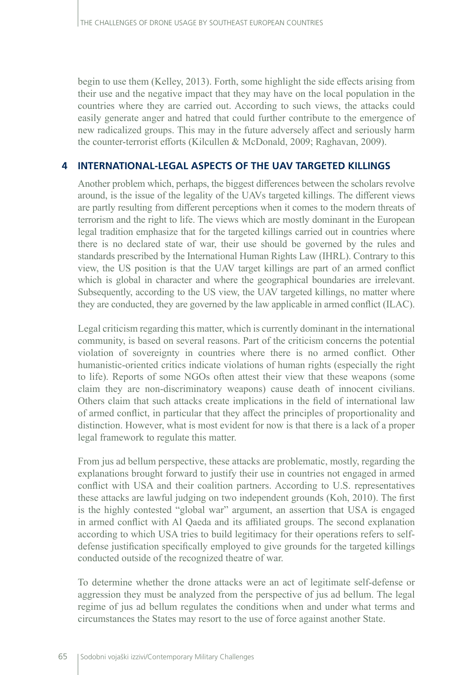begin to use them (Kelley, 2013). Forth, some highlight the side effects arising from their use and the negative impact that they may have on the local population in the countries where they are carried out. According to such views, the attacks could easily generate anger and hatred that could further contribute to the emergence of new radicalized groups. This may in the future adversely affect and seriously harm the counter-terrorist efforts (Kilcullen & McDonald, 2009; Raghavan, 2009).

#### **4 INTERNATIONAL-LEGAL ASPECTS OF THE UAV TARGETED KILLINGS**

Another problem which, perhaps, the biggest differences between the scholars revolve around, is the issue of the legality of the UAVs targeted killings. The different views are partly resulting from different perceptions when it comes to the modern threats of terrorism and the right to life. The views which are mostly dominant in the European legal tradition emphasize that for the targeted killings carried out in countries where there is no declared state of war, their use should be governed by the rules and standards prescribed by the International Human Rights Law (IHRL). Contrary to this view, the US position is that the UAV target killings are part of an armed conflict which is global in character and where the geographical boundaries are irrelevant. Subsequently, according to the US view, the UAV targeted killings, no matter where they are conducted, they are governed by the law applicable in armed conflict (ILAC).

Legal criticism regarding this matter, which is currently dominant in the international community, is based on several reasons. Part of the criticism concerns the potential violation of sovereignty in countries where there is no armed conflict. Other humanistic-oriented critics indicate violations of human rights (especially the right to life). Reports of some NGOs often attest their view that these weapons (some claim they are non-discriminatory weapons) cause death of innocent civilians. Others claim that such attacks create implications in the field of international law of armed conflict, in particular that they affect the principles of proportionality and distinction. However, what is most evident for now is that there is a lack of a proper legal framework to regulate this matter.

From jus ad bellum perspective, these attacks are problematic, mostly, regarding the explanations brought forward to justify their use in countries not engaged in armed conflict with USA and their coalition partners. According to U.S. representatives these attacks are lawful judging on two independent grounds (Koh, 2010). The first is the highly contested "global war" argument, an assertion that USA is engaged in armed conflict with Al Qaeda and its affiliated groups. The second explanation according to which USA tries to build legitimacy for their operations refers to selfdefense justification specifically employed to give grounds for the targeted killings conducted outside of the recognized theatre of war.

To determine whether the drone attacks were an act of legitimate self-defense or aggression they must be analyzed from the perspective of jus ad bellum. The legal regime of jus ad bellum regulates the conditions when and under what terms and circumstances the States may resort to the use of force against another State.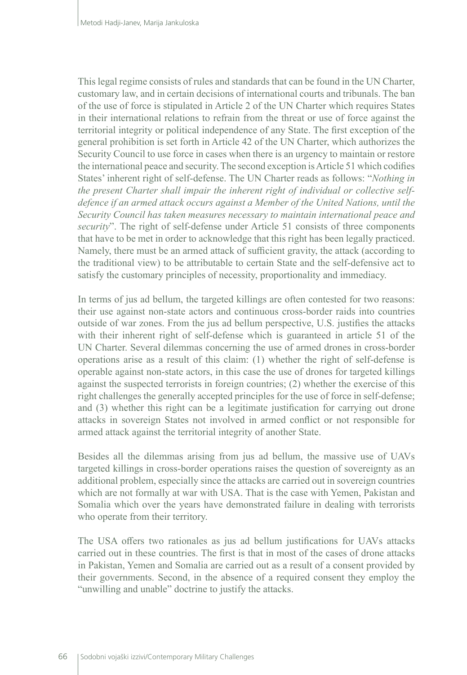This legal regime consists of rules and standards that can be found in the UN Charter, customary law, and in certain decisions of international courts and tribunals. The ban of the use of force is stipulated in Article 2 of the UN Charter which requires States in their international relations to refrain from the threat or use of force against the territorial integrity or political independence of any State. The first exception of the general prohibition is set forth in Article 42 of the UN Charter, which authorizes the Security Council to use force in cases when there is an urgency to maintain or restore the international peace and security. The second exception is Article 51 which codifies States' inherent right of self-defense. The UN Charter reads as follows: "*Nothing in the present Charter shall impair the inherent right of individual or collective selfdefence if an armed attack occurs against a Member of the United Nations, until the Security Council has taken measures necessary to maintain international peace and security*". The right of self-defense under Article 51 consists of three components that have to be met in order to acknowledge that this right has been legally practiced. Namely, there must be an armed attack of sufficient gravity, the attack (according to the traditional view) to be attributable to certain State and the self-defensive act to satisfy the customary principles of necessity, proportionality and immediacy.

In terms of jus ad bellum, the targeted killings are often contested for two reasons: their use against non-state actors and continuous cross-border raids into countries outside of war zones. From the jus ad bellum perspective, U.S. justifies the attacks with their inherent right of self-defense which is guaranteed in article 51 of the UN Charter. Several dilemmas concerning the use of armed drones in cross-border operations arise as a result of this claim: (1) whether the right of self-defense is operable against non-state actors, in this case the use of drones for targeted killings against the suspected terrorists in foreign countries; (2) whether the exercise of this right challenges the generally accepted principles for the use of force in self-defense; and (3) whether this right can be a legitimate justification for carrying out drone attacks in sovereign States not involved in armed conflict or not responsible for armed attack against the territorial integrity of another State.

Besides all the dilemmas arising from jus ad bellum, the massive use of UAVs targeted killings in cross-border operations raises the question of sovereignty as an additional problem, especially since the attacks are carried out in sovereign countries which are not formally at war with USA. That is the case with Yemen, Pakistan and Somalia which over the years have demonstrated failure in dealing with terrorists who operate from their territory.

The USA offers two [rationale](https://www.google.com/search?biw=1280&bih=615&q=define+rationale&sa=X&ei=5NE6VMrSM6HPygO2lYJ4&sqi=2&ved=0CCAQ_SowAA)s as jus ad bellum justifications for UAVs attacks carried out in these countries. The first is that in most of the cases of drone attacks in Pakistan, Yemen and Somalia are carried out as a result of a consent provided by their governments. Second, in the absence of a required consent they employ the "unwilling and unable" doctrine to justify the attacks.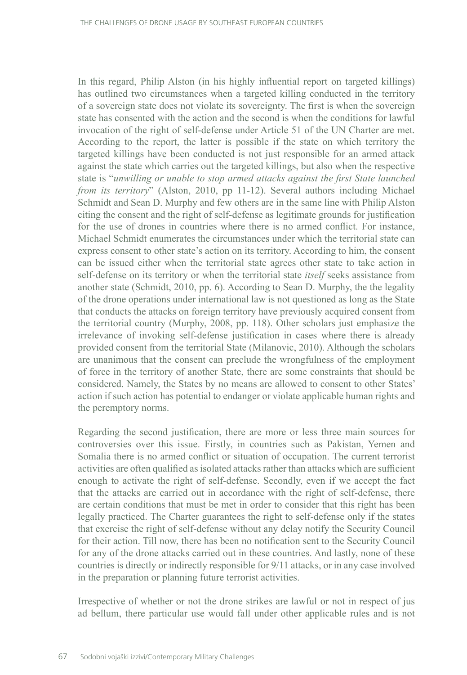In this regard, Philip Alston (in his highly influential report on targeted killings) has outlined two circumstances when a targeted killing conducted in the territory of a sovereign state does not violate its sovereignty. The first is when the sovereign state has consented with the action and the second is when the conditions for lawful invocation of the right of self-defense under Article 51 of the UN Charter are met. According to the report, the latter is possible if the state on which territory the targeted killings have been conducted is not just responsible for an armed attack against the state which carries out the targeted killings, but also when the respective state is "*unwilling or unable to stop armed attacks against the first State launched from its territory*" (Alston, 2010, pp 11-12). Several authors including Michael Schmidt and Sean D. Murphy and few others are in the same line with Philip Alston citing the consent and the right of self-defense as legitimate grounds for justification for the use of drones in countries where there is no armed conflict. For instance, Michael Schmidt enumerates the circumstances under which the territorial state can express consent to other state's action on its territory. According to him, the consent can be issued either when the territorial state agrees other state to take action in self-defense on its territory or when the territorial state *itself* seeks assistance from another state (Schmidt, 2010, pp. 6). According to Sean D. Murphy, the the legality of the drone operations under international law is not questioned as long as the State that conducts the attacks on foreign territory have previously acquired consent from the territorial country (Murphy, 2008, pp. 118). Other scholars just emphasize the irrelevance of invoking self-defense justification in cases where there is already provided consent from the territorial State (Milanovic, 2010). Although the scholars are unanimous that the consent can preclude the wrongfulness of the employment of force in the territory of another State, there are some constraints that should be considered. Namely, the States by no means are allowed to consent to other States' action if such action has potential to endanger or violate applicable human rights and the peremptory norms.

Regarding the second justification, there are more or less three main sources for controversies over this issue. Firstly, in countries such as Pakistan, Yemen and Somalia there is no armed conflict or situation of occupation. The current terrorist activities are often qualified as isolated attacks rather than attacks which are sufficient enough to activate the right of self-defense. Secondly, even if we accept the fact that the attacks are carried out in accordance with the right of self-defense, there are certain conditions that must be met in order to consider that this right has been legally practiced. The Charter guarantees the right to self-defense only if the states that exercise the right of self-defense without any delay notify the Security Council for their action. Till now, there has been no notification sent to the Security Council for any of the drone attacks carried out in these countries. And lastly, none of these countries is directly or indirectly responsible for 9/11 attacks, or in any case involved in the preparation or planning future terrorist activities.

Irrespective of whether or not the drone strikes are lawful or not in respect of jus ad bellum, there particular use would fall under other applicable rules and is not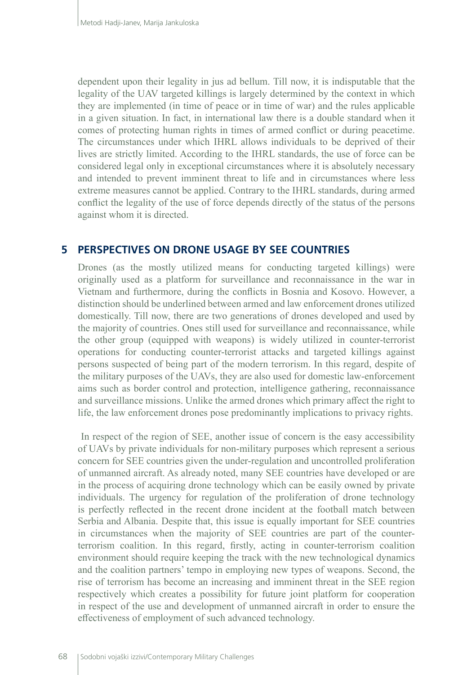dependent upon their legality in jus ad bellum. Till now, it is indisputable that the legality of the UAV targeted killings is largely determined by the context in which they are implemented (in time of peace or in time of war) and the rules applicable in a given situation. In fact, in international law there is a double standard when it comes of protecting human rights in times of armed conflict or during peacetime. The circumstances under which IHRL allows individuals to be deprived of their lives are strictly limited. According to the IHRL standards, the use of force can be considered legal only in exceptional circumstances where it is absolutely necessary and intended to prevent imminent threat to life and in circumstances where less extreme measures cannot be applied. Contrary to the IHRL standards, during armed conflict the legality of the use of force depends directly of the status of the persons against whom it is directed.

### **5 PERSPECTIVES ON DRONE USAGE BY SEE COUNTRIES**

Drones (as the mostly utilized means for conducting targeted killings) were originally used as a platform for surveillance and reconnaissance in the war in Vietnam and furthermore, during the conflicts in Bosnia and Kosovo. However, a distinction should be underlined between armed and law enforcement drones utilized domestically. Till now, there are two generations of drones developed and used by the majority of countries. Ones still used for surveillance and reconnaissance, while the other group (equipped with weapons) is widely utilized in counter-terrorist operations for conducting counter-terrorist attacks and targeted killings against persons suspected of being part of the modern terrorism. In this regard, despite of the military purposes of the UAVs, they are also used for domestic law-enforcement aims such as border control and protection, intelligence gathering, reconnaissance and surveillance missions. Unlike the armed drones which primary affect the right to life, the law enforcement drones pose predominantly implications to privacy rights.

 In respect of the region of SEE, another issue of concern is the easy accessibility of UAVs by private individuals for non-military purposes which represent a serious concern for SEE countries given the under-regulation and uncontrolled proliferation of unmanned aircraft. As already noted, many SEE countries have developed or are in the process of acquiring drone technology which can be easily owned by private individuals. The urgency for regulation of the proliferation of drone technology is perfectly reflected in the recent drone incident at the football match between Serbia and Albania. Despite that, this issue is equally important for SEE countries in circumstances when the majority of SEE countries are part of the counterterrorism coalition. In this regard, firstly, acting in counter-terrorism coalition environment should require keeping the track with the new technological dynamics and the coalition partners' tempo in employing new types of weapons. Second, the rise of terrorism has become an increasing and imminent threat in the SEE region respectively which creates a possibility for future joint platform for cooperation in respect of the use and development of unmanned aircraft in order to ensure the effectiveness of employment of such advanced technology.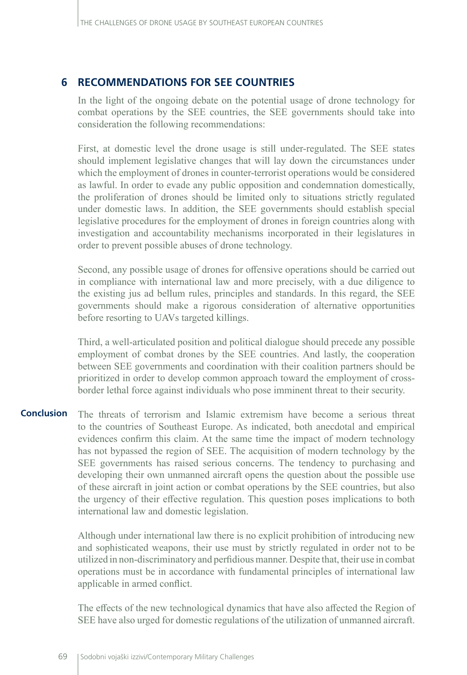## **6 RECOMMENDATIONS FOR SEE COUNTRIES**

In the light of the ongoing debate on the potential usage of drone technology for combat operations by the SEE countries, the SEE governments should take into consideration the following recommendations:

First, at domestic level the drone usage is still under-regulated. The SEE states should implement legislative changes that will lay down the circumstances under which the employment of drones in counter-terrorist operations would be considered as lawful. In order to evade any public opposition and condemnation domestically, the proliferation of drones should be limited only to situations strictly regulated under domestic laws. In addition, the SEE governments should establish special legislative procedures for the employment of drones in foreign countries along with investigation and accountability mechanisms incorporated in their legislatures in order to prevent possible abuses of drone technology.

Second, any possible usage of drones for offensive operations should be carried out in compliance with international law and more precisely, with a due diligence to the existing jus ad bellum rules, principles and standards. In this regard, the SEE governments should make a rigorous consideration of alternative opportunities before resorting to UAVs targeted killings.

Third, a well-articulated position and political dialogue should precede any possible employment of combat drones by the SEE countries. And lastly, the cooperation between SEE governments and coordination with their coalition partners should be prioritized in order to develop common approach toward the employment of crossborder lethal force against individuals who pose imminent threat to their security.

The threats of terrorism and Islamic extremism have become a serious threat to the countries of Southeast Europe. As indicated, both anecdotal and empirical evidences confirm this claim. At the same time the impact of modern technology has not bypassed the region of SEE. The acquisition of modern technology by the SEE governments has raised serious concerns. The tendency to purchasing and developing their own unmanned aircraft opens the question about the possible use of these aircraft in joint action or combat operations by the SEE countries, but also the urgency of their effective regulation. This question poses implications to both international law and domestic legislation. **Conclusion**

> Although under international law there is no explicit prohibition of introducing new and sophisticated weapons, their use must by strictly regulated in order not to be utilized in non-discriminatory and perfidious manner. Despite that, their use in combat operations must be in accordance with fundamental principles of international law applicable in armed conflict.

> The effects of the new technological dynamics that have also affected the Region of SEE have also urged for domestic regulations of the utilization of unmanned aircraft.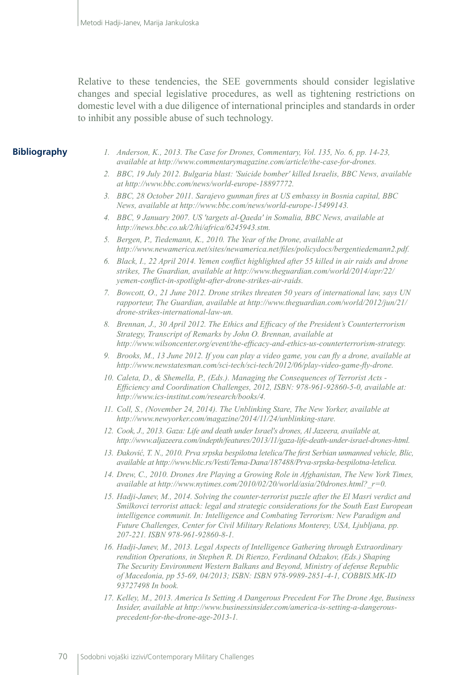Relative to these tendencies, the SEE governments should consider legislative changes and special legislative procedures, as well as tightening restrictions on domestic level with a due diligence of international principles and standards in order to inhibit any possible abuse of such technology.

#### **Bibliography**

- *1. Anderson, [K.,](http://www.commentarymagazine.com/article/the-case-for-drones/) 2013. The Case for Drones, Commentary, Vol. 135, No. 6, pp. 14-23, available at http://www.commentarymagazine.com/article/the-case-for-drones.*
- *2. BBC, 19 July 2012. Bulgaria blast: 'Suicide bomber' killed Israelis, BBC News, available at http://www.bbc.com/news/world-europe-18897772.*
- *3. BBC, 28 October 2011. Sarajevo gunman fires at US embassy in Bosnia capital, BBC News, available at http://www.bbc.com/news/world-europe-15499143.*
- *4. BBC, 9 January 2007. US 'targets al-Qaeda' in Somalia, BBC News, available at http://news.bbc.co.uk/2/hi/africa/6245943.stm.*
- *5. Bergen, P., Tiedemann, K., 2010. The Year of the Drone, available at http://www.newamerica.net/sites/newamerica.net/files/policydocs/bergentiedemann2.pdf.*
- *6. Black, [I.,](http://www.theguardian.com/profile/ianblack) 22 April 2014. Yemen conflict highlighted after 55 killed in air raids and drone strikes, The Guardian, available at http://www.theguardian.com/world/2014/apr/22/ yemen-conflict-in-spotlight-after-drone-strikes-air-raids.*
- *7. Bowcott, [O.,](http://www.theguardian.com/profile/owenbowcott) 21 June 2012. Drone strikes threaten 50 years of international law, says UN rapporteur, The Guardian, available at http://www.theguardian.com/world/2012/jun/21/ drone-strikes-international-law-un.*
- *8. Brennan, J., 30 April 2012. The Ethics and Efficacy of the President's Counterterrorism Strategy, Transcript of Remarks by John O. Brennan, available at [http://www.wilsoncenter.org/event/the-efficacy-and-ethics-us-counterterrorism-strategy.](http://www.wilsoncenter.org/event/the-efficacy-and-ethics-us-counterterrorism-strategy)*
- *9. Brooks, [M.,](http://www.newstatesman.com/writers/michael_brooks) 13 June 2012. If you can play a video game, you can fly a drone, available at http://www.newstatesman.com/sci-tech/sci-tech/2012/06/play-video-game-fly-drone.*
- *10. Caleta, D., & Shemella, P., (Eds.). Managing the Consequences of Terrorist Acts Efficiency and Coordination Challenges, 2012, ISBN: 978-961-92860-5-0, available at: <http://www.ics-institut.com/research/books/4>.*
- *11. Coll, S., ([November 24, 2014\).](http://www.newyorker.com/magazine/2014/11/24) [The Unblinking Stare](https://www.google.com/url?sa=t&rct=j&q=&esrc=s&source=web&cd=1&cad=rja&uact=8&ved=0ahUKEwjvqY3zhKrLAhXLvXIKHa_XAfEQFggcMAA&url=http%3A%2F%2Fwww.newyorker.com%2Fmagazine%2F2014%2F11%2F24%2Funblinking-stare&usg=AFQjCNFpMu4N9lRghFzUkyS9C5IOqG6SbA), The New Yorker, available at http://www.newyorker.com/magazine/2014/11/24/unblinking-stare.*
- *12. Cook, [J.,](http://www.aljazeera.com/profile/jonathan-cook.html) 2013. Gaza: Life and death under Israel's drones, Al Jazeera, available at, http://www.aljazeera.com/indepth/features/2013/11/gaza-life-death-under-israel-drones-html.*
- *13. Đaković, T. N., 2010. Prva srpska bespilotna letelica/The first Serbian unmanned vehicle, Blic, available at http://www.blic.rs/Vesti/Tema-Dana/187488/Prva-srpska-bespilotna-letelica.*
- *14. Drew, C., 2010. Drones Are Playing a Growing Role in Afghanistan, The New York Times, available at http://www.nytimes.com/2010/02/20/world/asia/20drones.html?\_r=0.*
- *15. Hadji-Janev, M., 2014. Solving the counter-terrorist puzzle after the El Masri verdict and Smilkovci terrorist attack: legal and strategic considerations for the South East European intelligence communit. In: Intelligence and Combating Terrorism: New Paradigm and Future Challenges, Center for Civil Military Relations Monterey, USA, Ljubljana, pp. 207-221. ISBN 978-961-92860-8-1.*
- *16. Hadji-Janev, M., 2013. Legal Aspects of Intelligence Gathering through Extraordinary rendition Operations, in Stephen R. Di Rienzo, Ferdinand Odzakov, (Eds.) Shaping The Security Environment Western Balkans and Beyond, Ministry of defense Republic of Macedonia, pp 55-69, 04/2013; ISBN: ISBN 978-9989-2851-4-1, COBBIS.MK-ID 93727498 In book.*
- *17. Kelley, [M.](http://www.businessinsider.com/author/michael-kelley), 2013. America Is Setting A Dangerous Precedent For The Drone Age, Business Insider, available at http://www.businessinsider.com/america-is-setting-a-dangerousprecedent-for-the-drone-age-2013-1.*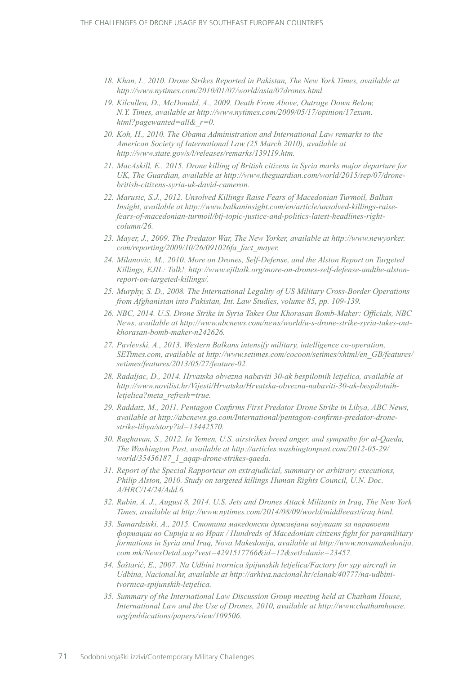- *18. Khan, I., 2010. Drone Strikes Reported in Pakistan, The New York Times, available at http://www.nytimes.com/2010/01/07/world/asia/07drones.html*
- *19. Kilcullen, D., McDonald, A., 2009. Death From Above, Outrage Down Below, N.Y. Times, available at http://www.nytimes.com/2009/05/17/opinion/17exum. html?pagewanted=all&\_r=0.*
- *20. Koh, H., 2010. The Obama Administration and International Law remarks to the American Society of International Law (25 March 2010), available at http://www.state.gov/s/l/releases/remarks/139119.htm.*
- *21. MacAskill, [E.,](http://www.theguardian.com/profile/ewenmacaskill) 2015. Drone killing of British citizens in Syria marks major departure for UK, The Guardian, available at http://www.theguardian.com/world/2015/sep/07/dronebritish-citizens-syria-uk-david-cameron.*
- *22. Marusic, S.J., 2012. Unsolved Killings Raise Fears of Macedonian Turmoil, Balkan Insight, available at http://www.balkaninsight.com/en/article/unsolved-killings-raisefears-of-macedonian-turmoil/btj-topic-justice-and-politics-latest-headlines-rightcolumn/26.*
- *23. Mayer, J., 2009. The Predator War, The New Yorker, available at http://www.newyorker. com/reporting/2009/10/26/091026fa\_fact\_mayer.*
- *24. Milanovic, M., 2010. More on Drones, Self-Defense, and the Alston Report on Targeted Killings, EJIL: Talk!, http://www.ejiltalk.org/more-on-drones-self-defense-andthe-alstonreport-on-targeted-killings/.*
- *25. Murphy, S. D., 2008. The International Legality of US Military Cross-Border Operations from Afghanistan into Pakistan, Int. Law Studies, volume 85, pp. 109-139.*
- *26. NBC, 2014. U.S. Drone Strike in Syria Takes Out Khorasan Bomb-Maker: Officials, NBC News, available at http://www.nbcnews.com/news/world/u-s-drone-strike-syria-takes-outkhorasan-bomb-maker-n242626.*
- *27. Pavlevski, A., 2013. Western Balkans intensify military, intelligence co-operation, SETimes.com, available at http://www.setimes.com/cocoon/setimes/xhtml/en\_GB/features/ setimes/features/2013/05/27/feature-02.*
- *28. Radaljac, D., 2014. Hrvatska obvezna nabaviti 30-ak bespilotnih letjelica, available at http://www.novilist.hr/Vijesti/Hrvatska/Hrvatska-obvezna-nabaviti-30-ak-bespilotnihletjelica?meta\_refresh=true.*
- *29. Raddatz, M., 2011. Pentagon Confirms First Predator Drone Strike in Libya, ABC News, available at http://abcnews.go.com/International/pentagon-confirms-predator-dronestrike-libya/story?id=13442570.*
- *30. Raghavan, S., 2012. In Yemen, U.S. airstrikes breed anger, and sympathy for al-Qaeda, The Washington Post, available at http://articles.washingtonpost.com/2012-05-29/ world/35456187\_1\_aqap-drone-strikes-qaeda.*
- *31. Report of the Special Rapporteur on extrajudicial, summary or arbitrary executions, Philip Alston, 2010. Study on targeted killings Human Rights Council, U.N. Doc. A/HRC/14/24/Add.6.*
- *32. Rubin, A. J., August 8, 2014. U.S. Jets and Drones Attack Militants in Iraq, The New York Times, available at http://www.nytimes.com/2014/08/09/world/middleeast/iraq.html.*
- *33. Samardziski, A., 2015. Стотина македонски државјани војуваат за паравоени формации во Сирија и во Ирак / Hundreds of Macedonian citizens fight for paramilitary formations in Syria and Iraq, Nova Makedonija, available at http://www.novamakedonija. com.mk/NewsDetal.asp?vest=4291517766&id=12&setIzdanie=23457.*
- *34. Šoštarić, [E., 2](http://arhiva.nacional.hr/autor/21/Eduard-Sostaric)007. Na Udbini tvornica špijunskih letjelica/Factory for spy aircraft in Udbina, Nacional.hr, available at http://arhiva.nacional.hr/clanak/40777/na-udbinitvornica-spijunskih-letjelica.*
- *35. Summary of the International Law Discussion Group meeting held at Chatham House, International Law and the Use of Drones, 2010, available at http://www.chathamhouse. org/publications/papers/view/109506.*